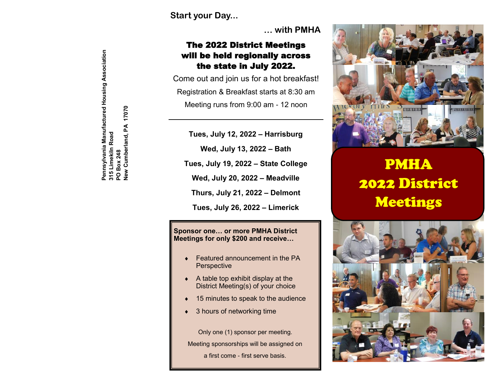**Start your Day...**

**… with PMHA**

### The 2022 District Meetings will be held regionally across the state in July 2022.

Come out and join us for a hot breakfast! Registration & Breakfast starts at 8:30 am Meeting runs from 9:00 am - 12 noon

**Tues, July 12, 2022 – Harrisburg**

**Wed, July 13, 2022 – Bath**

**Tues, July 19, 2022 – State College**

**Wed, July 20, 2022 – Meadville**

**Thurs, July 21, 2022 – Delmont**

**Tues, July 26, 2022 – Limerick**

#### **Sponsor one… or more PMHA District Meetings for only \$200 and receive…**

- Featured announcement in the PA **Perspective**
- $\triangleleft$  A table top exhibit display at the District Meeting(s) of your choice
- 15 minutes to speak to the audience
- 3 hours of networking time

Only one (1) sponsor per meeting. Meeting sponsorships will be assigned on a first come - first serve basis.



# PMHA 2022 District Meetings



Pennsylvania Manufactured Housing Association<br>315 Limeklin Road<br>PO Box 248<br>New Cumberland, PA 17070 **Pennsylvania Manufactured Housing Association** 17070 **New Cumberland, PA 17070 315 Limekiln Road**